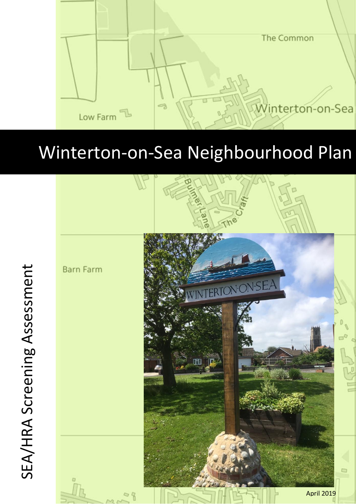

# Winterton-on-Sea Neighbourhood Plan



SEA/HRA Screening Assessment SEA/HRA Screening Assessment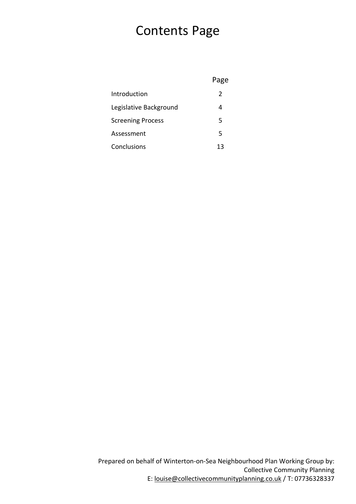## Contents Page

|                          | Page |
|--------------------------|------|
| Introduction             | 2    |
| Legislative Background   | 4    |
| <b>Screening Process</b> | 5    |
| Assessment               | 5    |
| Conclusions              | 13   |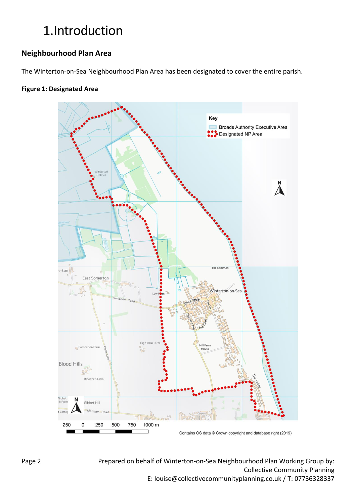# 1.Introduction

### **Neighbourhood Plan Area**

The Winterton-on-Sea Neighbourhood Plan Area has been designated to cover the entire parish.

#### **Figure 1: Designated Area**



Prepared on behalf of Winterton-on-Sea Neighbourhood Plan Working Group by: Collective Community Planning E: [louise@collectivecommunityplanning.co.uk](mailto:louise@collectivecommunityplanning.co.uk) / T: 07736328337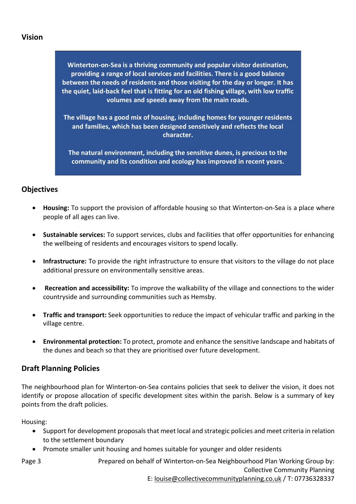#### **Vision**

**Winterton-on-Sea is a thriving community and popular visitor destination, providing a range of local services and facilities. There is a good balance between the needs of residents and those visiting for the day or longer. It has the quiet, laid-back feel that is fitting for an old fishing village, with low traffic volumes and speeds away from the main roads.**

**The village has a good mix of housing, including homes for younger residents and families, which has been designed sensitively and reflects the local character.**

**The natural environment, including the sensitive dunes, is precious to the community and its condition and ecology has improved in recent years.**

#### **Objectives**

- **Housing:** To support the provision of affordable housing so that Winterton-on-Sea is a place where people of all ages can live.
- **Sustainable services:** To support services, clubs and facilities that offer opportunities for enhancing the wellbeing of residents and encourages visitors to spend locally.
- **Infrastructure:** To provide the right infrastructure to ensure that visitors to the village do not place additional pressure on environmentally sensitive areas.
- **Recreation and accessibility:** To improve the walkability of the village and connections to the wider countryside and surrounding communities such as Hemsby.
- **Traffic and transport:** Seek opportunities to reduce the impact of vehicular traffic and parking in the village centre.
- **Environmental protection:** To protect, promote and enhance the sensitive landscape and habitats of the dunes and beach so that they are prioritised over future development.

#### **Draft Planning Policies**

The neighbourhood plan for Winterton-on-Sea contains policies that seek to deliver the vision, it does not identify or propose allocation of specific development sites within the parish. Below is a summary of key points from the draft policies.

Housing:

- Support for development proposals that meet local and strategic policies and meet criteria in relation to the settlement boundary
- Promote smaller unit housing and homes suitable for younger and older residents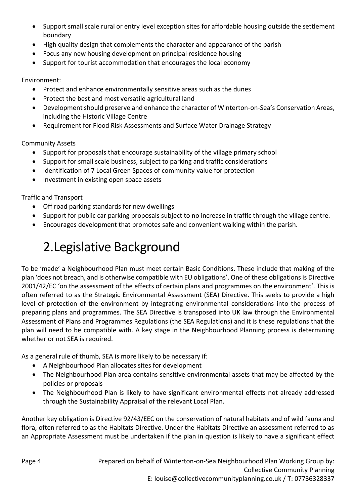- Support small scale rural or entry level exception sites for affordable housing outside the settlement boundary
- High quality design that complements the character and appearance of the parish
- Focus any new housing development on principal residence housing
- Support for tourist accommodation that encourages the local economy

Environment:

- Protect and enhance environmentally sensitive areas such as the dunes
- Protect the best and most versatile agricultural land
- Development should preserve and enhance the character of Winterton-on-Sea's Conservation Areas, including the Historic Village Centre
- Requirement for Flood Risk Assessments and Surface Water Drainage Strategy

Community Assets

- Support for proposals that encourage sustainability of the village primary school
- Support for small scale business, subject to parking and traffic considerations
- Identification of 7 Local Green Spaces of community value for protection
- Investment in existing open space assets

Traffic and Transport

- Off road parking standards for new dwellings
- Support for public car parking proposals subject to no increase in traffic through the village centre.
- Encourages development that promotes safe and convenient walking within the parish.

# 2.Legislative Background

To be 'made' a Neighbourhood Plan must meet certain Basic Conditions. These include that making of the plan 'does not breach, and is otherwise compatible with EU obligations'. One of these obligations is Directive 2001/42/EC 'on the assessment of the effects of certain plans and programmes on the environment'. This is often referred to as the Strategic Environmental Assessment (SEA) Directive. This seeks to provide a high level of protection of the environment by integrating environmental considerations into the process of preparing plans and programmes. The SEA Directive is transposed into UK law through the Environmental Assessment of Plans and Programmes Regulations (the SEA Regulations) and it is these regulations that the plan will need to be compatible with. A key stage in the Neighbourhood Planning process is determining whether or not SEA is required.

As a general rule of thumb, SEA is more likely to be necessary if:

- A Neighbourhood Plan allocates sites for development
- The Neighbourhood Plan area contains sensitive environmental assets that may be affected by the policies or proposals
- The Neighbourhood Plan is likely to have significant environmental effects not already addressed through the Sustainability Appraisal of the relevant Local Plan.

Another key obligation is Directive 92/43/EEC on the conservation of natural habitats and of wild fauna and flora, often referred to as the Habitats Directive. Under the Habitats Directive an assessment referred to as an Appropriate Assessment must be undertaken if the plan in question is likely to have a significant effect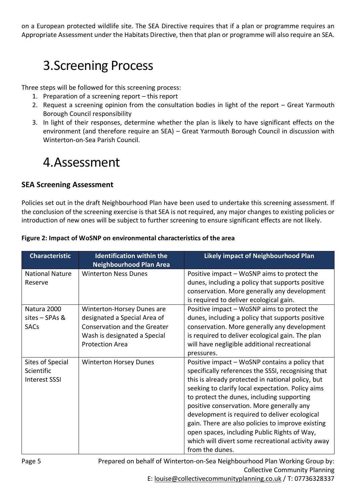on a European protected wildlife site. The SEA Directive requires that if a plan or programme requires an Appropriate Assessment under the Habitats Directive, then that plan or programme will also require an SEA.

# 3.Screening Process

Three steps will be followed for this screening process:

- 1. Preparation of a screening report this report
- 2. Request a screening opinion from the consultation bodies in light of the report Great Yarmouth Borough Council responsibility
- 3. In light of their responses, determine whether the plan is likely to have significant effects on the environment (and therefore require an SEA) – Great Yarmouth Borough Council in discussion with Winterton-on-Sea Parish Council.

### 4.Assessment

### **SEA Screening Assessment**

Policies set out in the draft Neighbourhood Plan have been used to undertake this screening assessment. If the conclusion of the screening exercise is that SEA is not required, any major changes to existing policies or introduction of new ones will be subject to further screening to ensure significant effects are not likely.

|  | Figure 2: Impact of WoSNP on environmental characteristics of the area |
|--|------------------------------------------------------------------------|
|--|------------------------------------------------------------------------|

| <b>Characteristic</b>                                  | <b>Identification within the</b><br><b>Neighbourhood Plan Area</b>                                                                                   | <b>Likely impact of Neighbourhood Plan</b>                                                                                                                                                                                                                                                                                                                                                                                                                                                                                              |
|--------------------------------------------------------|------------------------------------------------------------------------------------------------------------------------------------------------------|-----------------------------------------------------------------------------------------------------------------------------------------------------------------------------------------------------------------------------------------------------------------------------------------------------------------------------------------------------------------------------------------------------------------------------------------------------------------------------------------------------------------------------------------|
| <b>National Nature</b><br>Reserve                      | <b>Winterton Ness Dunes</b>                                                                                                                          | Positive impact – WoSNP aims to protect the<br>dunes, including a policy that supports positive<br>conservation. More generally any development<br>is required to deliver ecological gain.                                                                                                                                                                                                                                                                                                                                              |
| Natura 2000<br>sites - SPAs &<br><b>SACs</b>           | Winterton-Horsey Dunes are<br>designated a Special Area of<br>Conservation and the Greater<br>Wash is designated a Special<br><b>Protection Area</b> | Positive impact – WoSNP aims to protect the<br>dunes, including a policy that supports positive<br>conservation. More generally any development<br>is required to deliver ecological gain. The plan<br>will have negligible additional recreational<br>pressures.                                                                                                                                                                                                                                                                       |
| Sites of Special<br>Scientific<br><b>Interest SSSI</b> | <b>Winterton Horsey Dunes</b>                                                                                                                        | Positive impact – WoSNP contains a policy that<br>specifically references the SSSI, recognising that<br>this is already protected in national policy, but<br>seeking to clarify local expectation. Policy aims<br>to protect the dunes, including supporting<br>positive conservation. More generally any<br>development is required to deliver ecological<br>gain. There are also policies to improve existing<br>open spaces, including Public Rights of Way,<br>which will divert some recreational activity away<br>from the dunes. |

Prepared on behalf of Winterton-on-Sea Neighbourhood Plan Working Group by: Collective Community Planning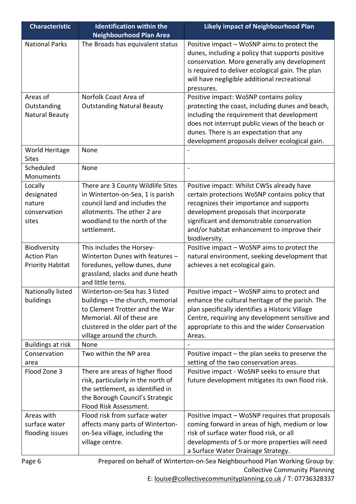| <b>Characteristic</b>                                    | <b>Identification within the</b>                                                                                                                                                     | <b>Likely impact of Neighbourhood Plan</b>                                                                                                                                                                                                                                                     |
|----------------------------------------------------------|--------------------------------------------------------------------------------------------------------------------------------------------------------------------------------------|------------------------------------------------------------------------------------------------------------------------------------------------------------------------------------------------------------------------------------------------------------------------------------------------|
|                                                          | <b>Neighbourhood Plan Area</b>                                                                                                                                                       |                                                                                                                                                                                                                                                                                                |
| <b>National Parks</b>                                    | The Broads has equivalent status                                                                                                                                                     | Positive impact – WoSNP aims to protect the<br>dunes, including a policy that supports positive<br>conservation. More generally any development<br>is required to deliver ecological gain. The plan<br>will have negligible additional recreational<br>pressures.                              |
| Areas of                                                 | Norfolk Coast Area of                                                                                                                                                                | Positive impact: WoSNP contains policy                                                                                                                                                                                                                                                         |
| Outstanding<br><b>Natural Beauty</b>                     | <b>Outstanding Natural Beauty</b>                                                                                                                                                    | protecting the coast, including dunes and beach,<br>including the requirement that development<br>does not interrupt public views of the beach or<br>dunes. There is an expectation that any<br>development proposals deliver ecological gain.                                                 |
| World Heritage<br><b>Sites</b>                           | None                                                                                                                                                                                 |                                                                                                                                                                                                                                                                                                |
| Scheduled<br>Monuments                                   | None                                                                                                                                                                                 |                                                                                                                                                                                                                                                                                                |
| Locally<br>designated<br>nature<br>conservation<br>sites | There are 3 County Wildlife Sites<br>in Winterton-on-Sea, 1 is parish<br>council land and includes the<br>allotments. The other 2 are<br>woodland to the north of the<br>settlement. | Positive impact: Whilst CWSs already have<br>certain protections WoSNP contains policy that<br>recognizes their importance and supports<br>development proposals that incorporate<br>significant and demonstrable conservation<br>and/or habitat enhancement to improve their<br>biodiversity. |
| Biodiversity                                             | This includes the Horsey-                                                                                                                                                            | Positive impact - WoSNP aims to protect the                                                                                                                                                                                                                                                    |
| <b>Action Plan</b>                                       | Winterton Dunes with features -                                                                                                                                                      | natural environment, seeking development that                                                                                                                                                                                                                                                  |
| <b>Priority Habitat</b>                                  | foredunes, yellow dunes, dune<br>grassland, slacks and dune heath<br>and little terns.                                                                                               | achieves a net ecological gain.                                                                                                                                                                                                                                                                |
| Nationally listed                                        | Winterton-on-Sea has 3 listed                                                                                                                                                        | Positive impact - WoSNP aims to protect and                                                                                                                                                                                                                                                    |
| buildings                                                | buildings - the church, memorial<br>to Clement Trotter and the War<br>Memorial. All of these are<br>clustered in the older part of the<br>village around the church.                 | enhance the cultural heritage of the parish. The<br>plan specifically identifies a Historic Village<br>Centre, requiring any development sensitive and<br>appropriate to this and the wider Conservation<br>Areas.                                                                             |
| <b>Buildings at risk</b>                                 | None                                                                                                                                                                                 |                                                                                                                                                                                                                                                                                                |
| Conservation<br>area                                     | Two within the NP area                                                                                                                                                               | Positive impact – the plan seeks to preserve the<br>setting of the two conservation areas.                                                                                                                                                                                                     |
| Flood Zone 3                                             | There are areas of higher flood<br>risk, particularly in the north of<br>the settlement, as identified in<br>the Borough Council's Strategic<br>Flood Risk Assessment.               | Positive impact - WoSNP seeks to ensure that<br>future development mitigates its own flood risk.                                                                                                                                                                                               |
| Areas with                                               | Flood risk from surface water                                                                                                                                                        | Positive impact - WoSNP requires that proposals                                                                                                                                                                                                                                                |
| surface water                                            | affects many parts of Winterton-                                                                                                                                                     | coming forward in areas of high, medium or low                                                                                                                                                                                                                                                 |
| flooding issues                                          | on-Sea village, including the<br>village centre.                                                                                                                                     | risk of surface water flood risk, or all<br>developments of 5 or more properties will need<br>a Surface Water Drainage Strategy.                                                                                                                                                               |

Prepared on behalf of Winterton-on-Sea Neighbourhood Plan Working Group by: Collective Community Planning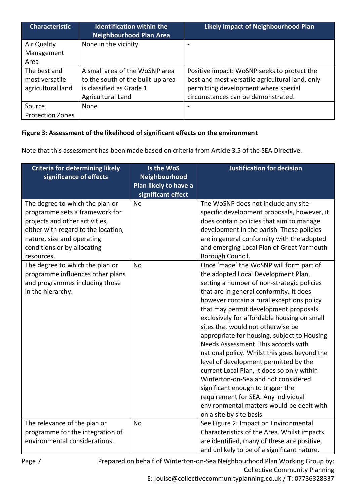| <b>Characteristic</b>   | <b>Identification within the</b><br><b>Neighbourhood Plan Area</b> | <b>Likely impact of Neighbourhood Plan</b>      |
|-------------------------|--------------------------------------------------------------------|-------------------------------------------------|
| Air Quality             | None in the vicinity.                                              |                                                 |
| Management              |                                                                    |                                                 |
| Area                    |                                                                    |                                                 |
| The best and            | A small area of the WoSNP area                                     | Positive impact: WoSNP seeks to protect the     |
| most versatile          | to the south of the built-up area                                  | best and most versatile agricultural land, only |
| agricultural land       | is classified as Grade 1                                           | permitting development where special            |
|                         | Agricultural Land                                                  | circumstances can be demonstrated.              |
| Source                  | None                                                               |                                                 |
| <b>Protection Zones</b> |                                                                    |                                                 |

#### **Figure 3: Assessment of the likelihood of significant effects on the environment**

Note that this assessment has been made based on criteria from Article 3.5 of the SEA Directive.

| <b>Criteria for determining likely</b><br>significance of effects                                                                                                                                                                                                                            | Is the WoS<br>Neighbourhood<br>Plan likely to have a<br>significant effect | <b>Justification for decision</b>                                                                                                                                                                                                                                                                                                                                                                                                                                                                                                                                                                                                                                                        |
|----------------------------------------------------------------------------------------------------------------------------------------------------------------------------------------------------------------------------------------------------------------------------------------------|----------------------------------------------------------------------------|------------------------------------------------------------------------------------------------------------------------------------------------------------------------------------------------------------------------------------------------------------------------------------------------------------------------------------------------------------------------------------------------------------------------------------------------------------------------------------------------------------------------------------------------------------------------------------------------------------------------------------------------------------------------------------------|
| The degree to which the plan or<br>programme sets a framework for<br>projects and other activities,<br>either with regard to the location,<br>nature, size and operating<br>conditions or by allocating<br>resources.<br>The degree to which the plan or<br>programme influences other plans | No<br><b>No</b>                                                            | The WoSNP does not include any site-<br>specific development proposals, however, it<br>does contain policies that aim to manage<br>development in the parish. These policies<br>are in general conformity with the adopted<br>and emerging Local Plan of Great Yarmouth<br>Borough Council.<br>Once 'made' the WoSNP will form part of<br>the adopted Local Development Plan,                                                                                                                                                                                                                                                                                                            |
| and programmes including those<br>in the hierarchy.                                                                                                                                                                                                                                          |                                                                            | setting a number of non-strategic policies<br>that are in general conformity. It does<br>however contain a rural exceptions policy<br>that may permit development proposals<br>exclusively for affordable housing on small<br>sites that would not otherwise be<br>appropriate for housing, subject to Housing<br>Needs Assessment. This accords with<br>national policy. Whilst this goes beyond the<br>level of development permitted by the<br>current Local Plan, it does so only within<br>Winterton-on-Sea and not considered<br>significant enough to trigger the<br>requirement for SEA. Any individual<br>environmental matters would be dealt with<br>on a site by site basis. |
| The relevance of the plan or<br>programme for the integration of<br>environmental considerations.                                                                                                                                                                                            | <b>No</b>                                                                  | See Figure 2: Impact on Environmental<br>Characteristics of the Area. Whilst impacts<br>are identified, many of these are positive,<br>and unlikely to be of a significant nature.                                                                                                                                                                                                                                                                                                                                                                                                                                                                                                       |

Prepared on behalf of Winterton-on-Sea Neighbourhood Plan Working Group by: Collective Community Planning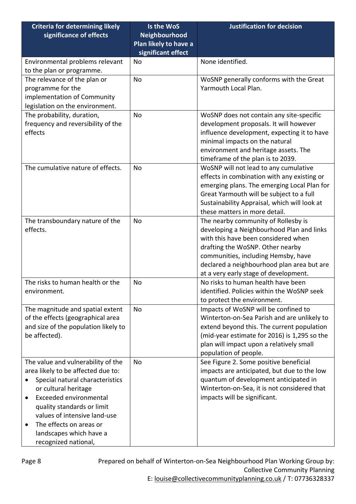| <b>Criteria for determining likely</b> | Is the WoS            | <b>Justification for decision</b>            |
|----------------------------------------|-----------------------|----------------------------------------------|
| significance of effects                | Neighbourhood         |                                              |
|                                        | Plan likely to have a |                                              |
|                                        | significant effect    |                                              |
| Environmental problems relevant        | No                    | None identified.                             |
| to the plan or programme.              |                       |                                              |
| The relevance of the plan or           | <b>No</b>             | WoSNP generally conforms with the Great      |
| programme for the                      |                       | Yarmouth Local Plan.                         |
| implementation of Community            |                       |                                              |
| legislation on the environment.        |                       |                                              |
| The probability, duration,             | No                    | WoSNP does not contain any site-specific     |
| frequency and reversibility of the     |                       | development proposals. It will however       |
| effects                                |                       | influence development, expecting it to have  |
|                                        |                       | minimal impacts on the natural               |
|                                        |                       | environment and heritage assets. The         |
|                                        |                       | timeframe of the plan is to 2039.            |
| The cumulative nature of effects.      | <b>No</b>             | WoSNP will not lead to any cumulative        |
|                                        |                       | effects in combination with any existing or  |
|                                        |                       | emerging plans. The emerging Local Plan for  |
|                                        |                       | Great Yarmouth will be subject to a full     |
|                                        |                       | Sustainability Appraisal, which will look at |
|                                        |                       | these matters in more detail.                |
| The transboundary nature of the        | No                    | The nearby community of Rollesby is          |
| effects.                               |                       | developing a Neighbourhood Plan and links    |
|                                        |                       | with this have been considered when          |
|                                        |                       | drafting the WoSNP. Other nearby             |
|                                        |                       | communities, including Hemsby, have          |
|                                        |                       | declared a neighbourhood plan area but are   |
|                                        |                       | at a very early stage of development.        |
| The risks to human health or the       | No                    | No risks to human health have been           |
| environment.                           |                       | identified. Policies within the WoSNP seek   |
|                                        |                       | to protect the environment.                  |
| The magnitude and spatial extent       | No                    | Impacts of WoSNP will be confined to         |
| of the effects (geographical area      |                       | Winterton-on-Sea Parish and are unlikely to  |
| and size of the population likely to   |                       | extend beyond this. The current population   |
| be affected).                          |                       | (mid-year estimate for 2016) is 1,295 so the |
|                                        |                       | plan will impact upon a relatively small     |
|                                        |                       | population of people.                        |
| The value and vulnerability of the     | No.                   | See Figure 2. Some positive beneficial       |
| area likely to be affected due to:     |                       | impacts are anticipated, but due to the low  |
| Special natural characteristics        |                       | quantum of development anticipated in        |
| or cultural heritage                   |                       | Winterton-on-Sea, it is not considered that  |
| Exceeded environmental<br>$\bullet$    |                       | impacts will be significant.                 |
| quality standards or limit             |                       |                                              |
| values of intensive land-use           |                       |                                              |
| The effects on areas or                |                       |                                              |
| landscapes which have a                |                       |                                              |
| recognized national,                   |                       |                                              |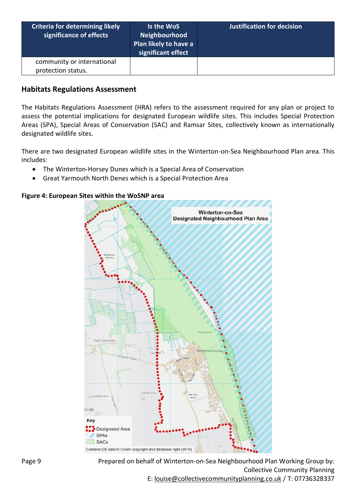| <b>Criteria for determining likely</b><br>significance of effects | Is the WoS<br>Neighbourhood<br>Plan likely to have a<br>significant effect | <b>Justification for decision</b> |
|-------------------------------------------------------------------|----------------------------------------------------------------------------|-----------------------------------|
| community or international                                        |                                                                            |                                   |
| protection status.                                                |                                                                            |                                   |

#### **Habitats Regulations Assessment**

The Habitats Regulations Assessment (HRA) refers to the assessment required for any plan or project to assess the potential implications for designated European wildlife sites. This includes Special Protection Areas (SPA), Special Areas of Conservation (SAC) and Ramsar Sites, collectively known as internationally designated wildlife sites.

There are two designated European wildlife sites in the Winterton-on-Sea Neighbourhood Plan area. This includes:

- The Winterton-Horsey Dunes which is a Special Area of Conservation
- Great Yarmouth North Denes which is a Special Protection Area

#### **Figure 4: European Sites within the WoSNP area**



Prepared on behalf of Winterton-on-Sea Neighbourhood Plan Working Group by: Collective Community Planning E: [louise@collectivecommunityplanning.co.uk](mailto:louise@collectivecommunityplanning.co.uk) / T: 07736328337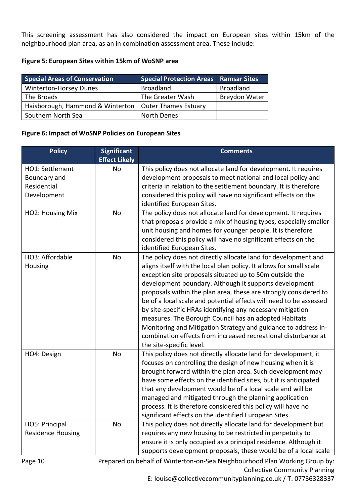This screening assessment has also considered the impact on European sites within 15km of the neighbourhood plan area, as an in combination assessment area. These include:

#### **Figure 5: European Sites within 15km of WoSNP area**

| <b>Special Areas of Conservation</b>                    | <b>Special Protection Areas   Ramsar Sites</b> |                      |
|---------------------------------------------------------|------------------------------------------------|----------------------|
| <b>Winterton-Horsey Dunes</b>                           | <b>Broadland</b>                               | <b>Broadland</b>     |
| The Broads                                              | The Greater Wash                               | <b>Breydon Water</b> |
| Haisborough, Hammond & Winterton   Outer Thames Estuary |                                                |                      |
| Southern North Sea                                      | North Denes                                    |                      |

#### **Figure 6: Impact of WoSNP Policies on European Sites**

| <b>Policy</b>            | <b>Significant</b>   | <b>Comments</b>                                                     |
|--------------------------|----------------------|---------------------------------------------------------------------|
|                          | <b>Effect Likely</b> |                                                                     |
| HO1: Settlement          | No                   | This policy does not allocate land for development. It requires     |
| Boundary and             |                      | development proposals to meet national and local policy and         |
| Residential              |                      | criteria in relation to the settlement boundary. It is therefore    |
| Development              |                      | considered this policy will have no significant effects on the      |
|                          |                      | identified European Sites.                                          |
| HO2: Housing Mix         | <b>No</b>            | The policy does not allocate land for development. It requires      |
|                          |                      | that proposals provide a mix of housing types, especially smaller   |
|                          |                      | unit housing and homes for younger people. It is therefore          |
|                          |                      | considered this policy will have no significant effects on the      |
|                          |                      | identified European Sites.                                          |
| HO3: Affordable          | <b>No</b>            | The policy does not directly allocate land for development and      |
| Housing                  |                      | aligns itself with the local plan policy. It allows for small scale |
|                          |                      | exception site proposals situated up to 50m outside the             |
|                          |                      | development boundary. Although it supports development              |
|                          |                      | proposals within the plan area, these are strongly considered to    |
|                          |                      | be of a local scale and potential effects will need to be assessed  |
|                          |                      | by site-specific HRAs identifying any necessary mitigation          |
|                          |                      | measures. The Borough Council has an adopted Habitats               |
|                          |                      | Monitoring and Mitigation Strategy and guidance to address in-      |
|                          |                      | combination effects from increased recreational disturbance at      |
|                          |                      | the site-specific level.                                            |
| HO4: Design              | <b>No</b>            | This policy does not directly allocate land for development, it     |
|                          |                      | focuses on controlling the design of new housing when it is         |
|                          |                      | brought forward within the plan area. Such development may          |
|                          |                      | have some effects on the identified sites, but it is anticipated    |
|                          |                      | that any development would be of a local scale and will be          |
|                          |                      | managed and mitigated through the planning application              |
|                          |                      | process. It is therefore considered this policy will have no        |
|                          |                      | significant effects on the identified European Sites.               |
| HO5: Principal           | No                   | This policy does not directly allocate land for development but     |
| <b>Residence Housing</b> |                      | requires any new housing to be restricted in perpetuity to          |
|                          |                      | ensure it is only occupied as a principal residence. Although it    |
|                          |                      | supports development proposals, these would be of a local scale     |

Page 10

Prepared on behalf of Winterton-on-Sea Neighbourhood Plan Working Group by: Collective Community Planning

E: [louise@collectivecommunityplanning.co.uk](mailto:louise@collectivecommunityplanning.co.uk) / T: 07736328337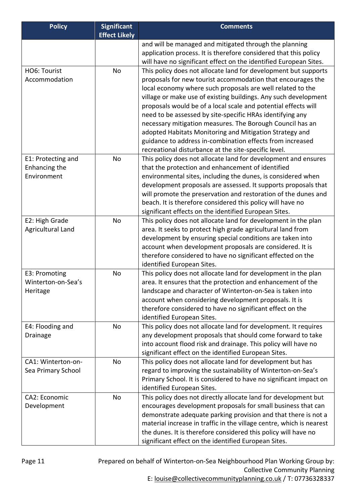| <b>Policy</b>                                      | <b>Significant</b><br><b>Effect Likely</b> | <b>Comments</b>                                                                                                                                                                                                                                                                                                                                                                                                                                                                                                                                                                                                                             |
|----------------------------------------------------|--------------------------------------------|---------------------------------------------------------------------------------------------------------------------------------------------------------------------------------------------------------------------------------------------------------------------------------------------------------------------------------------------------------------------------------------------------------------------------------------------------------------------------------------------------------------------------------------------------------------------------------------------------------------------------------------------|
|                                                    |                                            | and will be managed and mitigated through the planning<br>application process. It is therefore considered that this policy<br>will have no significant effect on the identified European Sites.                                                                                                                                                                                                                                                                                                                                                                                                                                             |
| HO6: Tourist<br>Accommodation                      | No                                         | This policy does not allocate land for development but supports<br>proposals for new tourist accommodation that encourages the<br>local economy where such proposals are well related to the<br>village or make use of existing buildings. Any such development<br>proposals would be of a local scale and potential effects will<br>need to be assessed by site-specific HRAs identifying any<br>necessary mitigation measures. The Borough Council has an<br>adopted Habitats Monitoring and Mitigation Strategy and<br>guidance to address in-combination effects from increased<br>recreational disturbance at the site-specific level. |
| E1: Protecting and<br>Enhancing the<br>Environment | No                                         | This policy does not allocate land for development and ensures<br>that the protection and enhancement of identified<br>environmental sites, including the dunes, is considered when<br>development proposals are assessed. It supports proposals that<br>will promote the preservation and restoration of the dunes and<br>beach. It is therefore considered this policy will have no<br>significant effects on the identified European Sites.                                                                                                                                                                                              |
| E2: High Grade<br>Agricultural Land                | No                                         | This policy does not allocate land for development in the plan<br>area. It seeks to protect high grade agricultural land from<br>development by ensuring special conditions are taken into<br>account when development proposals are considered. It is<br>therefore considered to have no significant effected on the<br>identified European Sites.                                                                                                                                                                                                                                                                                         |
| E3: Promoting<br>Winterton-on-Sea's<br>Heritage    | No                                         | This policy does not allocate land for development in the plan<br>area. It ensures that the protection and enhancement of the<br>landscape and character of Winterton-on-Sea is taken into<br>account when considering development proposals. It is<br>therefore considered to have no significant effect on the<br>identified European Sites.                                                                                                                                                                                                                                                                                              |
| E4: Flooding and<br>Drainage                       | No                                         | This policy does not allocate land for development. It requires<br>any development proposals that should come forward to take<br>into account flood risk and drainage. This policy will have no<br>significant effect on the identified European Sites.                                                                                                                                                                                                                                                                                                                                                                                     |
| CA1: Winterton-on-<br>Sea Primary School           | No                                         | This policy does not allocate land for development but has<br>regard to improving the sustainability of Winterton-on-Sea's<br>Primary School. It is considered to have no significant impact on<br>identified European Sites.                                                                                                                                                                                                                                                                                                                                                                                                               |
| CA2: Economic<br>Development                       | No                                         | This policy does not directly allocate land for development but<br>encourages development proposals for small business that can<br>demonstrate adequate parking provision and that there is not a<br>material increase in traffic in the village centre, which is nearest<br>the dunes. It is therefore considered this policy will have no<br>significant effect on the identified European Sites.                                                                                                                                                                                                                                         |

Prepared on behalf of Winterton-on-Sea Neighbourhood Plan Working Group by: Collective Community Planning E: [louise@collectivecommunityplanning.co.uk](mailto:louise@collectivecommunityplanning.co.uk) / T: 07736328337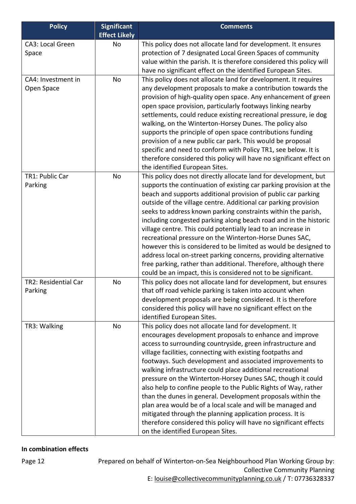| <b>Policy</b>                    | <b>Significant</b><br><b>Effect Likely</b> | <b>Comments</b>                                                                                                                                                                                                                                                                                                                                                                                                                                                                                                                                                                                                                                                                                                                                                                                                        |
|----------------------------------|--------------------------------------------|------------------------------------------------------------------------------------------------------------------------------------------------------------------------------------------------------------------------------------------------------------------------------------------------------------------------------------------------------------------------------------------------------------------------------------------------------------------------------------------------------------------------------------------------------------------------------------------------------------------------------------------------------------------------------------------------------------------------------------------------------------------------------------------------------------------------|
| CA3: Local Green<br>Space        | No                                         | This policy does not allocate land for development. It ensures<br>protection of 7 designated Local Green Spaces of community<br>value within the parish. It is therefore considered this policy will<br>have no significant effect on the identified European Sites.                                                                                                                                                                                                                                                                                                                                                                                                                                                                                                                                                   |
| CA4: Investment in<br>Open Space | No                                         | This policy does not allocate land for development. It requires<br>any development proposals to make a contribution towards the<br>provision of high-quality open space. Any enhancement of green<br>open space provision, particularly footways linking nearby<br>settlements, could reduce existing recreational pressure, ie dog<br>walking, on the Winterton-Horsey Dunes. The policy also<br>supports the principle of open space contributions funding<br>provision of a new public car park. This would be proposal<br>specific and need to conform with Policy TR1, see below. It is<br>therefore considered this policy will have no significant effect on<br>the identified European Sites.                                                                                                                  |
| TR1: Public Car<br>Parking       | No                                         | This policy does not directly allocate land for development, but<br>supports the continuation of existing car parking provision at the<br>beach and supports additional provision of public car parking<br>outside of the village centre. Additional car parking provision<br>seeks to address known parking constraints within the parish,<br>including congested parking along beach road and in the historic<br>village centre. This could potentially lead to an increase in<br>recreational pressure on the Winterton-Horse Dunes SAC,<br>however this is considered to be limited as would be designed to<br>address local on-street parking concerns, providing alternative<br>free parking, rather than additional. Therefore, although there<br>could be an impact, this is considered not to be significant. |
| TR2: Residential Car<br>Parking  | No                                         | This policy does not allocate land for development, but ensures<br>that off road vehicle parking is taken into account when<br>development proposals are being considered. It is therefore<br>considered this policy will have no significant effect on the<br>identified European Sites.                                                                                                                                                                                                                                                                                                                                                                                                                                                                                                                              |
| TR3: Walking                     | No                                         | This policy does not allocate land for development. It<br>encourages development proposals to enhance and improve<br>access to surrounding countryside, green infrastructure and<br>village facilities, connecting with existing footpaths and<br>footways. Such development and associated improvements to<br>walking infrastructure could place additional recreational<br>pressure on the Winterton-Horsey Dunes SAC, though it could<br>also help to confine people to the Public Rights of Way, rather<br>than the dunes in general. Development proposals within the<br>plan area would be of a local scale and will be managed and<br>mitigated through the planning application process. It is<br>therefore considered this policy will have no significant effects<br>on the identified European Sites.       |

#### **In combination effects**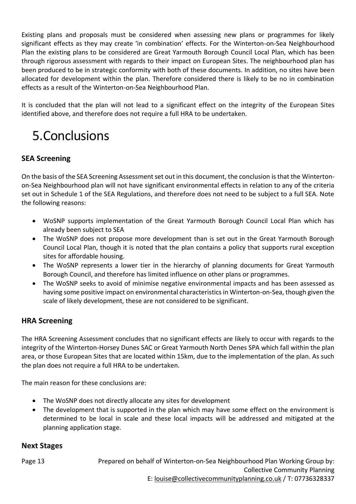Existing plans and proposals must be considered when assessing new plans or programmes for likely significant effects as they may create 'in combination' effects. For the Winterton-on-Sea Neighbourhood Plan the existing plans to be considered are Great Yarmouth Borough Council Local Plan, which has been through rigorous assessment with regards to their impact on European Sites. The neighbourhood plan has been produced to be in strategic conformity with both of these documents. In addition, no sites have been allocated for development within the plan. Therefore considered there is likely to be no in combination effects as a result of the Winterton-on-Sea Neighbourhood Plan.

It is concluded that the plan will not lead to a significant effect on the integrity of the European Sites identified above, and therefore does not require a full HRA to be undertaken.

# 5.Conclusions

### **SEA Screening**

On the basis of the SEA Screening Assessment set out in this document, the conclusion is that the Wintertonon-Sea Neighbourhood plan will not have significant environmental effects in relation to any of the criteria set out in Schedule 1 of the SEA Regulations, and therefore does not need to be subject to a full SEA. Note the following reasons:

- WoSNP supports implementation of the Great Yarmouth Borough Council Local Plan which has already been subject to SEA
- The WoSNP does not propose more development than is set out in the Great Yarmouth Borough Council Local Plan, though it is noted that the plan contains a policy that supports rural exception sites for affordable housing.
- The WoSNP represents a lower tier in the hierarchy of planning documents for Great Yarmouth Borough Council, and therefore has limited influence on other plans or programmes.
- The WoSNP seeks to avoid of minimise negative environmental impacts and has been assessed as having some positive impact on environmental characteristics in Winterton-on-Sea, though given the scale of likely development, these are not considered to be significant.

### **HRA Screening**

The HRA Screening Assessment concludes that no significant effects are likely to occur with regards to the integrity of the Winterton-Horsey Dunes SAC or Great Yarmouth North Denes SPA which fall within the plan area, or those European Sites that are located within 15km, due to the implementation of the plan. As such the plan does not require a full HRA to be undertaken.

The main reason for these conclusions are:

- The WoSNP does not directly allocate any sites for development
- The development that is supported in the plan which may have some effect on the environment is determined to be local in scale and these local impacts will be addressed and mitigated at the planning application stage.

### **Next Stages**

Prepared on behalf of Winterton-on-Sea Neighbourhood Plan Working Group by: Collective Community Planning E: [louise@collectivecommunityplanning.co.uk](mailto:louise@collectivecommunityplanning.co.uk) / T: 07736328337 Page 13